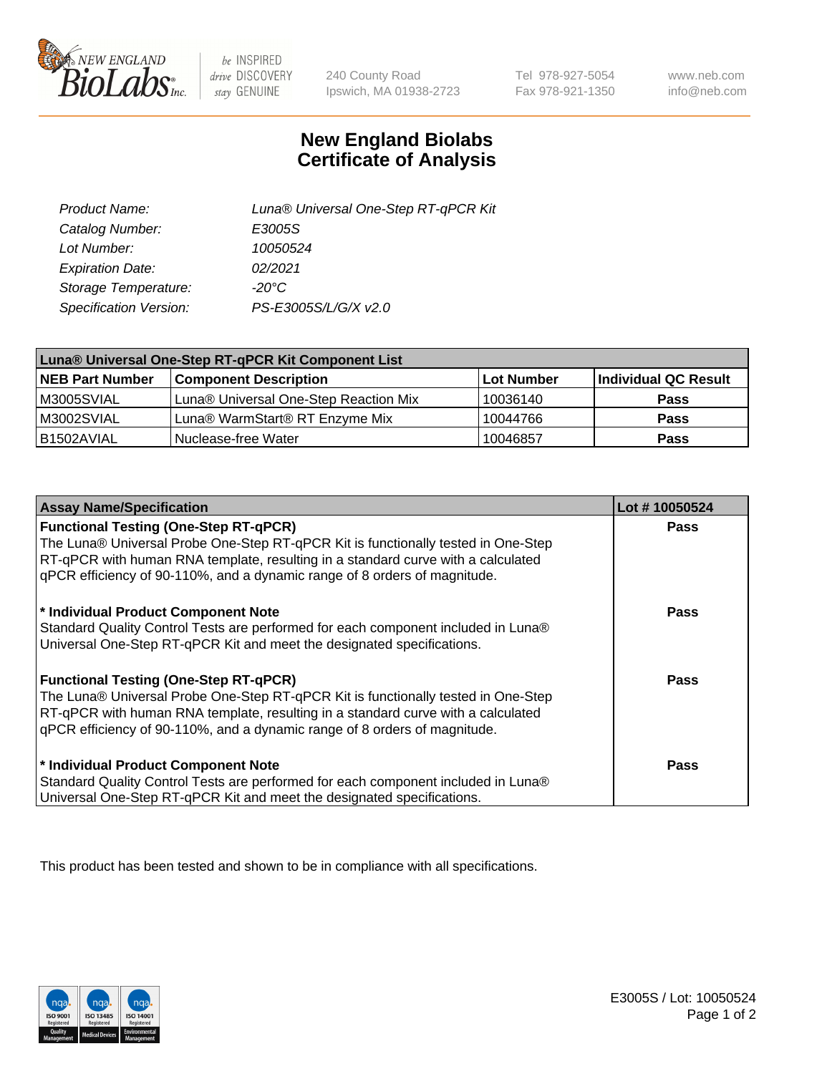

 $be$  INSPIRED drive DISCOVERY stay GENUINE

240 County Road Ipswich, MA 01938-2723

Tel 978-927-5054 Fax 978-921-1350

www.neb.com info@neb.com

## **New England Biolabs Certificate of Analysis**

| Product Name:           | Luna® Universal One-Step RT-qPCR Kit |
|-------------------------|--------------------------------------|
| Catalog Number:         | E3005S                               |
| Lot Number:             | 10050524                             |
| <b>Expiration Date:</b> | 02/2021                              |
| Storage Temperature:    | $-20^{\circ}$ C                      |
| Specification Version:  | PS-E3005S/L/G/X v2.0                 |

| Luna® Universal One-Step RT-qPCR Kit Component List |                                       |            |                      |  |
|-----------------------------------------------------|---------------------------------------|------------|----------------------|--|
| <b>NEB Part Number</b>                              | <b>Component Description</b>          | Lot Number | Individual QC Result |  |
| M3005SVIAL                                          | Luna® Universal One-Step Reaction Mix | 10036140   | <b>Pass</b>          |  |
| M3002SVIAL                                          | Luna® WarmStart® RT Enzyme Mix        | 10044766   | <b>Pass</b>          |  |
| B1502AVIAL                                          | Nuclease-free Water                   | 10046857   | <b>Pass</b>          |  |

| <b>Assay Name/Specification</b>                                                                                                                                                                                                                                                                    | Lot #10050524 |
|----------------------------------------------------------------------------------------------------------------------------------------------------------------------------------------------------------------------------------------------------------------------------------------------------|---------------|
| <b>Functional Testing (One-Step RT-qPCR)</b><br>The Luna® Universal Probe One-Step RT-qPCR Kit is functionally tested in One-Step                                                                                                                                                                  | <b>Pass</b>   |
| RT-qPCR with human RNA template, resulting in a standard curve with a calculated<br>gPCR efficiency of 90-110%, and a dynamic range of 8 orders of magnitude.                                                                                                                                      |               |
| * Individual Product Component Note<br>Standard Quality Control Tests are performed for each component included in Luna®<br>Universal One-Step RT-qPCR Kit and meet the designated specifications.                                                                                                 | Pass          |
| <b>Functional Testing (One-Step RT-qPCR)</b><br>The Luna® Universal Probe One-Step RT-qPCR Kit is functionally tested in One-Step<br>RT-qPCR with human RNA template, resulting in a standard curve with a calculated<br>gPCR efficiency of 90-110%, and a dynamic range of 8 orders of magnitude. | Pass          |
| * Individual Product Component Note<br>Standard Quality Control Tests are performed for each component included in Luna®<br>Universal One-Step RT-qPCR Kit and meet the designated specifications.                                                                                                 | <b>Pass</b>   |

This product has been tested and shown to be in compliance with all specifications.